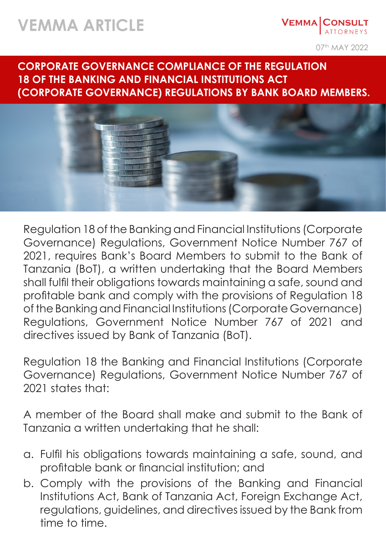## **VEMMA ARTICLE**

**VEMMA CONSULT** ATTORNEYS

07th MAY 2022

**CORPORATE GOVERNANCE COMPLIANCE OF THE REGULATION 18 OF THE BANKING AND FINANCIAL INSTITUTIONS ACT (CORPORATE GOVERNANCE) REGULATIONS BY BANK BOARD MEMBERS.**



Regulation 18 of the Banking and Financial Institutions (Corporate Governance) Regulations, Government Notice Number 767 of 2021, requires Bank's Board Members to submit to the Bank of Tanzania (BoT), a written undertaking that the Board Members shall fulfil their obligations towards maintaining a safe, sound and profitable bank and comply with the provisions of Regulation 18 of the Banking and Financial Institutions (Corporate Governance) Regulations, Government Notice Number 767 of 2021 and directives issued by Bank of Tanzania (BoT).

Regulation 18 the Banking and Financial Institutions (Corporate Governance) Regulations, Government Notice Number 767 of 2021 states that:

A member of the Board shall make and submit to the Bank of Tanzania a written undertaking that he shall:

- a. Fulfil his obligations towards maintaining a safe, sound, and profitable bank or financial institution; and
- b. Comply with the provisions of the Banking and Financial Institutions Act, Bank of Tanzania Act, Foreign Exchange Act, regulations, guidelines, and directives issued by the Bank from time to time.